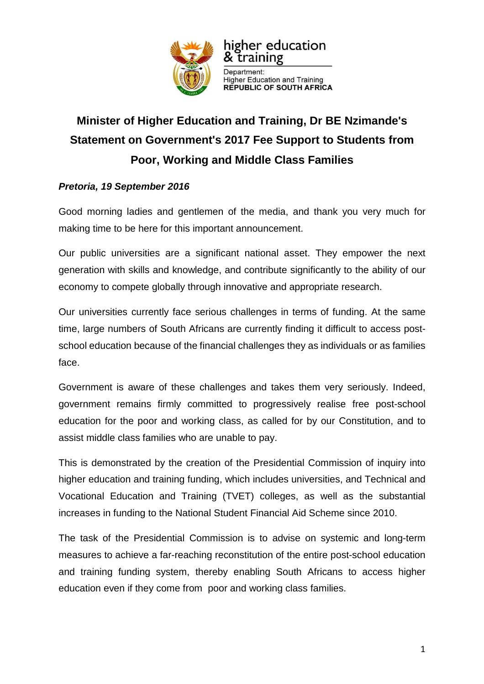

## higher education & training

Department: **Higher Education and Training<br>REPUBLIC OF SOUTH AFRICA** 

## **Minister of Higher Education and Training, Dr BE Nzimande's Statement on Government's 2017 Fee Support to Students from Poor, Working and Middle Class Families**

## *Pretoria, 19 September 2016*

Good morning ladies and gentlemen of the media, and thank you very much for making time to be here for this important announcement.

Our public universities are a significant national asset. They empower the next generation with skills and knowledge, and contribute significantly to the ability of our economy to compete globally through innovative and appropriate research.

Our universities currently face serious challenges in terms of funding. At the same time, large numbers of South Africans are currently finding it difficult to access postschool education because of the financial challenges they as individuals or as families face.

Government is aware of these challenges and takes them very seriously. Indeed, government remains firmly committed to progressively realise free post-school education for the poor and working class, as called for by our Constitution, and to assist middle class families who are unable to pay.

This is demonstrated by the creation of the Presidential Commission of inquiry into higher education and training funding, which includes universities, and Technical and Vocational Education and Training (TVET) colleges, as well as the substantial increases in funding to the National Student Financial Aid Scheme since 2010.

The task of the Presidential Commission is to advise on systemic and long-term measures to achieve a far-reaching reconstitution of the entire post-school education and training funding system, thereby enabling South Africans to access higher education even if they come from poor and working class families.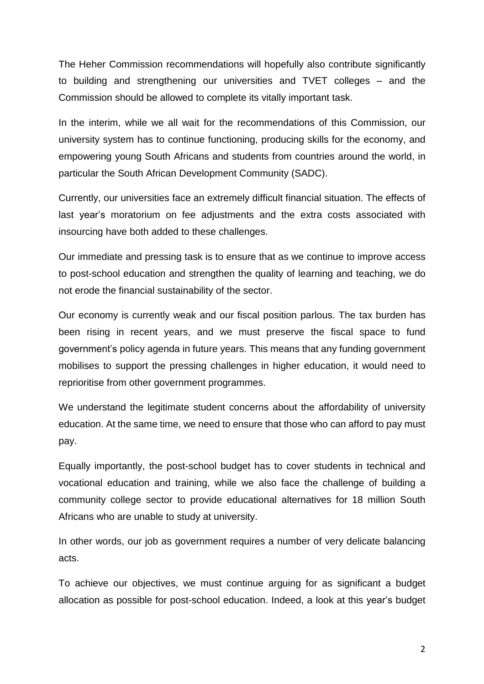The Heher Commission recommendations will hopefully also contribute significantly to building and strengthening our universities and TVET colleges – and the Commission should be allowed to complete its vitally important task.

In the interim, while we all wait for the recommendations of this Commission, our university system has to continue functioning, producing skills for the economy, and empowering young South Africans and students from countries around the world, in particular the South African Development Community (SADC).

Currently, our universities face an extremely difficult financial situation. The effects of last year's moratorium on fee adjustments and the extra costs associated with insourcing have both added to these challenges.

Our immediate and pressing task is to ensure that as we continue to improve access to post-school education and strengthen the quality of learning and teaching, we do not erode the financial sustainability of the sector.

Our economy is currently weak and our fiscal position parlous. The tax burden has been rising in recent years, and we must preserve the fiscal space to fund government's policy agenda in future years. This means that any funding government mobilises to support the pressing challenges in higher education, it would need to reprioritise from other government programmes.

We understand the legitimate student concerns about the affordability of university education. At the same time, we need to ensure that those who can afford to pay must pay.

Equally importantly, the post-school budget has to cover students in technical and vocational education and training, while we also face the challenge of building a community college sector to provide educational alternatives for 18 million South Africans who are unable to study at university.

In other words, our job as government requires a number of very delicate balancing acts.

To achieve our objectives, we must continue arguing for as significant a budget allocation as possible for post-school education. Indeed, a look at this year's budget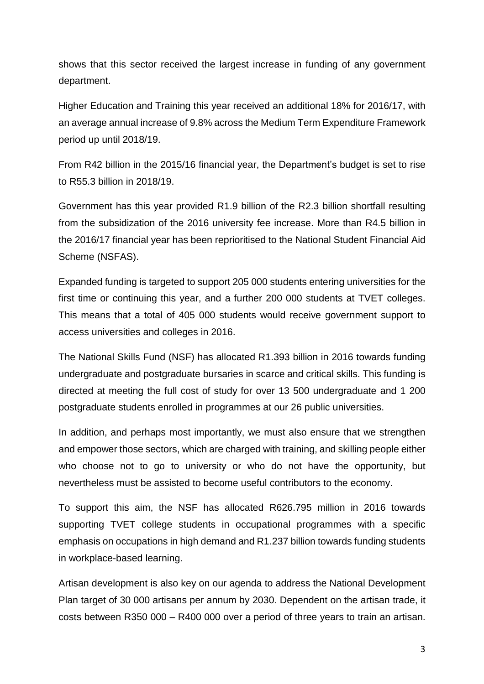shows that this sector received the largest increase in funding of any government department.

Higher Education and Training this year received an additional 18% for 2016/17, with an average annual increase of 9.8% across the Medium Term Expenditure Framework period up until 2018/19.

From R42 billion in the 2015/16 financial year, the Department's budget is set to rise to R55.3 billion in 2018/19.

Government has this year provided R1.9 billion of the R2.3 billion shortfall resulting from the subsidization of the 2016 university fee increase. More than R4.5 billion in the 2016/17 financial year has been reprioritised to the National Student Financial Aid Scheme (NSFAS).

Expanded funding is targeted to support 205 000 students entering universities for the first time or continuing this year, and a further 200 000 students at TVET colleges. This means that a total of 405 000 students would receive government support to access universities and colleges in 2016.

The National Skills Fund (NSF) has allocated R1.393 billion in 2016 towards funding undergraduate and postgraduate bursaries in scarce and critical skills. This funding is directed at meeting the full cost of study for over 13 500 undergraduate and 1 200 postgraduate students enrolled in programmes at our 26 public universities.

In addition, and perhaps most importantly, we must also ensure that we strengthen and empower those sectors, which are charged with training, and skilling people either who choose not to go to university or who do not have the opportunity, but nevertheless must be assisted to become useful contributors to the economy.

To support this aim, the NSF has allocated R626.795 million in 2016 towards supporting TVET college students in occupational programmes with a specific emphasis on occupations in high demand and R1.237 billion towards funding students in workplace-based learning.

Artisan development is also key on our agenda to address the National Development Plan target of 30 000 artisans per annum by 2030. Dependent on the artisan trade, it costs between R350 000 – R400 000 over a period of three years to train an artisan.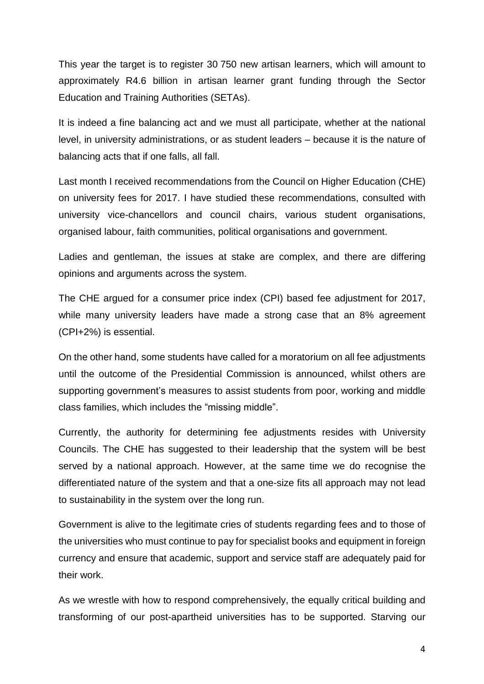This year the target is to register 30 750 new artisan learners, which will amount to approximately R4.6 billion in artisan learner grant funding through the Sector Education and Training Authorities (SETAs).

It is indeed a fine balancing act and we must all participate, whether at the national level, in university administrations, or as student leaders – because it is the nature of balancing acts that if one falls, all fall.

Last month I received recommendations from the Council on Higher Education (CHE) on university fees for 2017. I have studied these recommendations, consulted with university vice-chancellors and council chairs, various student organisations, organised labour, faith communities, political organisations and government.

Ladies and gentleman, the issues at stake are complex, and there are differing opinions and arguments across the system.

The CHE argued for a consumer price index (CPI) based fee adjustment for 2017, while many university leaders have made a strong case that an 8% agreement (CPI+2%) is essential.

On the other hand, some students have called for a moratorium on all fee adjustments until the outcome of the Presidential Commission is announced, whilst others are supporting government's measures to assist students from poor, working and middle class families, which includes the "missing middle".

Currently, the authority for determining fee adjustments resides with University Councils. The CHE has suggested to their leadership that the system will be best served by a national approach. However, at the same time we do recognise the differentiated nature of the system and that a one-size fits all approach may not lead to sustainability in the system over the long run.

Government is alive to the legitimate cries of students regarding fees and to those of the universities who must continue to pay for specialist books and equipment in foreign currency and ensure that academic, support and service staff are adequately paid for their work.

As we wrestle with how to respond comprehensively, the equally critical building and transforming of our post-apartheid universities has to be supported. Starving our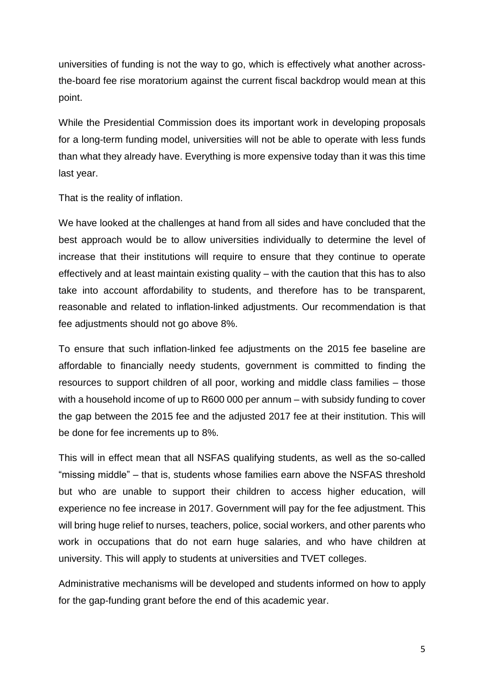universities of funding is not the way to go, which is effectively what another acrossthe-board fee rise moratorium against the current fiscal backdrop would mean at this point.

While the Presidential Commission does its important work in developing proposals for a long-term funding model, universities will not be able to operate with less funds than what they already have. Everything is more expensive today than it was this time last year.

That is the reality of inflation.

We have looked at the challenges at hand from all sides and have concluded that the best approach would be to allow universities individually to determine the level of increase that their institutions will require to ensure that they continue to operate effectively and at least maintain existing quality – with the caution that this has to also take into account affordability to students, and therefore has to be transparent, reasonable and related to inflation-linked adjustments. Our recommendation is that fee adjustments should not go above 8%.

To ensure that such inflation-linked fee adjustments on the 2015 fee baseline are affordable to financially needy students, government is committed to finding the resources to support children of all poor, working and middle class families – those with a household income of up to R600 000 per annum – with subsidy funding to cover the gap between the 2015 fee and the adjusted 2017 fee at their institution. This will be done for fee increments up to 8%.

This will in effect mean that all NSFAS qualifying students, as well as the so-called "missing middle" – that is, students whose families earn above the NSFAS threshold but who are unable to support their children to access higher education, will experience no fee increase in 2017. Government will pay for the fee adjustment. This will bring huge relief to nurses, teachers, police, social workers, and other parents who work in occupations that do not earn huge salaries, and who have children at university. This will apply to students at universities and TVET colleges.

Administrative mechanisms will be developed and students informed on how to apply for the gap-funding grant before the end of this academic year.